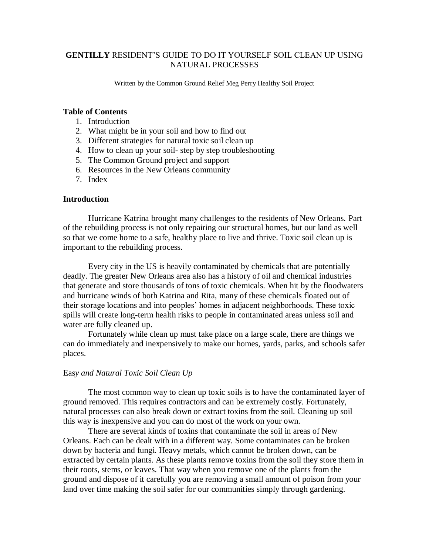# **GENTILLY** RESIDENT'S GUIDE TO DO IT YOURSELF SOIL CLEAN UP USING NATURAL PROCESSES

Written by the Common Ground Relief Meg Perry Healthy Soil Project

### **Table of Contents**

- 1. Introduction
- 2. What might be in your soil and how to find out
- 3. Different strategies for natural toxic soil clean up
- 4. How to clean up your soil- step by step troubleshooting
- 5. The Common Ground project and support
- 6. Resources in the New Orleans community
- 7. Index

#### **Introduction**

Hurricane Katrina brought many challenges to the residents of New Orleans. Part of the rebuilding process is not only repairing our structural homes, but our land as well so that we come home to a safe, healthy place to live and thrive. Toxic soil clean up is important to the rebuilding process.

Every city in the US is heavily contaminated by chemicals that are potentially deadly. The greater New Orleans area also has a history of oil and chemical industries that generate and store thousands of tons of toxic chemicals. When hit by the floodwaters and hurricane winds of both Katrina and Rita, many of these chemicals floated out of their storage locations and into peoples' homes in adjacent neighborhoods. These toxic spills will create long-term health risks to people in contaminated areas unless soil and water are fully cleaned up.

Fortunately while clean up must take place on a large scale, there are things we can do immediately and inexpensively to make our homes, yards, parks, and schools safer places.

#### Eas*y and Natural Toxic Soil Clean Up*

The most common way to clean up toxic soils is to have the contaminated layer of ground removed. This requires contractors and can be extremely costly. Fortunately, natural processes can also break down or extract toxins from the soil. Cleaning up soil this way is inexpensive and you can do most of the work on your own.

There are several kinds of toxins that contaminate the soil in areas of New Orleans. Each can be dealt with in a different way. Some contaminates can be broken down by bacteria and fungi. Heavy metals, which cannot be broken down, can be extracted by certain plants. As these plants remove toxins from the soil they store them in their roots, stems, or leaves. That way when you remove one of the plants from the ground and dispose of it carefully you are removing a small amount of poison from your land over time making the soil safer for our communities simply through gardening.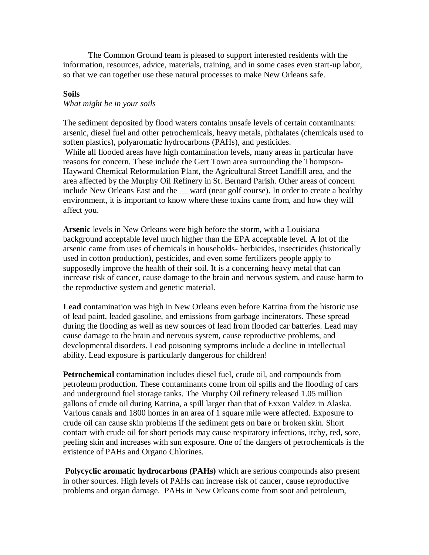The Common Ground team is pleased to support interested residents with the information, resources, advice, materials, training, and in some cases even start-up labor, so that we can together use these natural processes to make New Orleans safe.

### **Soils**

### *What might be in your soils*

The sediment deposited by flood waters contains unsafe levels of certain contaminants: arsenic, diesel fuel and other petrochemicals, heavy metals, phthalates (chemicals used to soften plastics), polyaromatic hydrocarbons (PAHs), and pesticides.

While all flooded areas have high contamination levels, many areas in particular have reasons for concern. These include the Gert Town area surrounding the Thompson-Hayward Chemical Reformulation Plant, the Agricultural Street Landfill area, and the area affected by the Murphy Oil Refinery in St. Bernard Parish. Other areas of concern include New Orleans East and the ward (near golf course). In order to create a healthy environment, it is important to know where these toxins came from, and how they will affect you.

**Arsenic** levels in New Orleans were high before the storm, with a Louisiana background acceptable level much higher than the EPA acceptable level. A lot of the arsenic came from uses of chemicals in households- herbicides, insecticides (historically used in cotton production), pesticides, and even some fertilizers people apply to supposedly improve the health of their soil. It is a concerning heavy metal that can increase risk of cancer, cause damage to the brain and nervous system, and cause harm to the reproductive system and genetic material.

**Lead** contamination was high in New Orleans even before Katrina from the historic use of lead paint, leaded gasoline, and emissions from garbage incinerators. These spread during the flooding as well as new sources of lead from flooded car batteries. Lead may cause damage to the brain and nervous system, cause reproductive problems, and developmental disorders. Lead poisoning symptoms include a decline in intellectual ability. Lead exposure is particularly dangerous for children!

**Petrochemical** contamination includes diesel fuel, crude oil, and compounds from petroleum production. These contaminants come from oil spills and the flooding of cars and underground fuel storage tanks. The Murphy Oil refinery released 1.05 million gallons of crude oil during Katrina, a spill larger than that of Exxon Valdez in Alaska. Various canals and 1800 homes in an area of 1 square mile were affected. Exposure to crude oil can cause skin problems if the sediment gets on bare or broken skin. Short contact with crude oil for short periods may cause respiratory infections, itchy, red, sore, peeling skin and increases with sun exposure. One of the dangers of petrochemicals is the existence of PAHs and Organo Chlorines.

**Polycyclic aromatic hydrocarbons (PAHs)** which are serious compounds also present in other sources. High levels of PAHs can increase risk of cancer, cause reproductive problems and organ damage. PAHs in New Orleans come from soot and petroleum,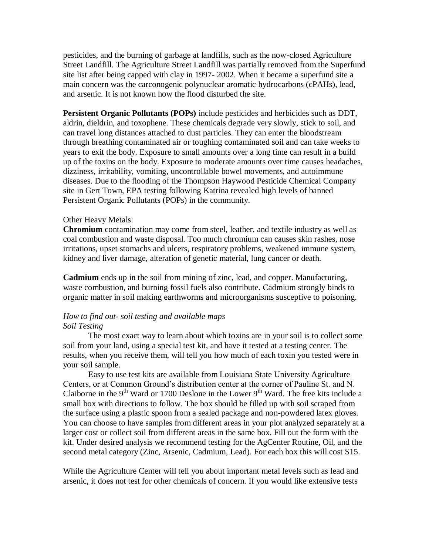pesticides, and the burning of garbage at landfills, such as the now-closed Agriculture Street Landfill. The Agriculture Street Landfill was partially removed from the Superfund site list after being capped with clay in 1997- 2002. When it became a superfund site a main concern was the carconogenic polynuclear aromatic hydrocarbons (cPAHs), lead, and arsenic. It is not known how the flood disturbed the site.

**Persistent Organic Pollutants (POPs)** include pesticides and herbicides such as DDT, aldrin, dieldrin, and toxophene. These chemicals degrade very slowly, stick to soil, and can travel long distances attached to dust particles. They can enter the bloodstream through breathing contaminated air or toughing contaminated soil and can take weeks to years to exit the body. Exposure to small amounts over a long time can result in a build up of the toxins on the body. Exposure to moderate amounts over time causes headaches, dizziness, irritability, vomiting, uncontrollable bowel movements, and autoimmune diseases. Due to the flooding of the Thompson Haywood Pesticide Chemical Company site in Gert Town, EPA testing following Katrina revealed high levels of banned Persistent Organic Pollutants (POPs) in the community.

### Other Heavy Metals:

**Chromium** contamination may come from steel, leather, and textile industry as well as coal combustion and waste disposal. Too much chromium can causes skin rashes, nose irritations, upset stomachs and ulcers, respiratory problems, weakened immune system, kidney and liver damage, alteration of genetic material, lung cancer or death.

**Cadmium** ends up in the soil from mining of zinc, lead, and copper. Manufacturing, waste combustion, and burning fossil fuels also contribute. Cadmium strongly binds to organic matter in soil making earthworms and microorganisms susceptive to poisoning.

### *How to find out- soil testing and available maps Soil Testing*

The most exact way to learn about which toxins are in your soil is to collect some soil from your land, using a special test kit, and have it tested at a testing center. The results, when you receive them, will tell you how much of each toxin you tested were in your soil sample.

Easy to use test kits are available from Louisiana State University Agriculture Centers, or at Common Ground's distribution center at the corner of Pauline St. and N. Claiborne in the 9<sup>th</sup> Ward or 1700 Deslone in the Lower 9<sup>th</sup> Ward. The free kits include a small box with directions to follow. The box should be filled up with soil scraped from the surface using a plastic spoon from a sealed package and non-powdered latex gloves. You can choose to have samples from different areas in your plot analyzed separately at a larger cost or collect soil from different areas in the same box. Fill out the form with the kit. Under desired analysis we recommend testing for the AgCenter Routine, Oil, and the second metal category (Zinc, Arsenic, Cadmium, Lead). For each box this will cost \$15.

While the Agriculture Center will tell you about important metal levels such as lead and arsenic, it does not test for other chemicals of concern. If you would like extensive tests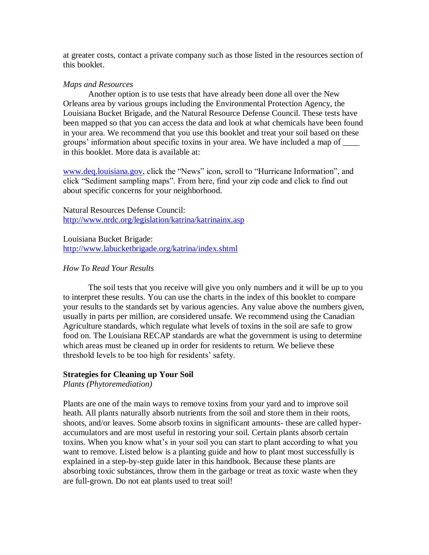at greater costs, contact a private company such as those listed in the resources section of this booklet.

#### *Maps and Resources*

Another option is to use tests that have already been done all over the New Orleans area by various groups including the Environmental Protection Agency, the Louisiana Bucket Brigade, and the Natural Resource Defense Council. These tests have been mapped so that you can access the data and look at what chemicals have been found in your area. We recommend that you use this booklet and treat your soil based on these groups' information about specific toxins in your area. We have included a map of \_\_\_\_ in this booklet. More data is available at:

[www.deq.louisiana.gov,](http://www.deq.louisiana.gov/) click the "News" icon, scroll to "Hurricane Information", and click "Sediment sampling maps". From here, find your zip code and click to find out about specific concerns for your neighborhood.

Natural Resources Defense Council: <http://www.nrdc.org/legislation/katrina/katrinainx.asp>

Louisiana Bucket Brigade: <http://www.labucketbrigade.org/katrina/index.shtml>

### *How To Read Your Results*

The soil tests that you receive will give you only numbers and it will be up to you to interpret these results. You can use the charts in the index of this booklet to compare your results to the standards set by various agencies. Any value above the numbers given, usually in parts per million, are considered unsafe. We recommend using the Canadian Agriculture standards, which regulate what levels of toxins in the soil are safe to grow food on. The Louisiana RECAP standards are what the government is using to determine which areas must be cleaned up in order for residents to return. We believe these threshold levels to be too high for residents' safety.

### **Strategies for Cleaning up Your Soil**

*Plants (Phytoremediation)*

Plants are one of the main ways to remove toxins from your yard and to improve soil heath. All plants naturally absorb nutrients from the soil and store them in their roots, shoots, and/or leaves. Some absorb toxins in significant amounts- these are called hyperaccumulators and are most useful in restoring your soil. Certain plants absorb certain toxins. When you know what's in your soil you can start to plant according to what you want to remove. Listed below is a planting guide and how to plant most successfully is explained in a step-by-step guide later in this handbook. Because these plants are absorbing toxic substances, throw them in the garbage or treat as toxic waste when they are full-grown. Do not eat plants used to treat soil!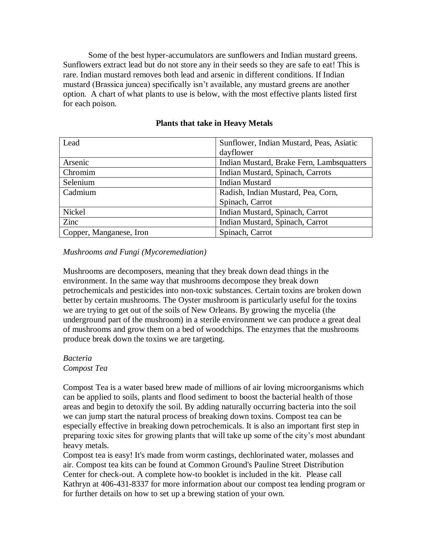Some of the best hyper-accumulators are sunflowers and Indian mustard greens. Sunflowers extract lead but do not store any in their seeds so they are safe to eat! This is rare. Indian mustard removes both lead and arsenic in different conditions. If Indian mustard (Brassica juncea) specifically isn't available, any mustard greens are another option. A chart of what plants to use is below, with the most effective plants listed first for each poison.

| Lead                    | Sunflower, Indian Mustard, Peas, Asiatic<br>dayflower |  |
|-------------------------|-------------------------------------------------------|--|
| Arsenic                 | Indian Mustard, Brake Fern, Lambsquatters             |  |
| Chromim                 | Indian Mustard, Spinach, Carrots                      |  |
| Selenium                | <b>Indian Mustard</b>                                 |  |
| Cadmium                 | Radish, Indian Mustard, Pea, Corn,                    |  |
|                         | Spinach, Carrot                                       |  |
| Nickel                  | Indian Mustard, Spinach, Carrot                       |  |
| Zinc                    | Indian Mustard, Spinach, Carrot                       |  |
| Copper, Manganese, Iron | Spinach, Carrot                                       |  |

## **Plants that take in Heavy Metals**

### *Mushrooms and Fungi (Mycoremediation)*

Mushrooms are decomposers, meaning that they break down dead things in the environment. In the same way that mushrooms decompose they break down petrochemicals and pesticides into non-toxic substances. Certain toxins are broken down better by certain mushrooms. The Oyster mushroom is particularly useful for the toxins we are trying to get out of the soils of New Orleans. By growing the mycelia (the underground part of the mushroom) in a sterile environment we can produce a great deal of mushrooms and grow them on a bed of woodchips. The enzymes that the mushrooms produce break down the toxins we are targeting.

## *Bacteria Compost Tea*

Compost Tea is a water based brew made of millions of air loving microorganisms which can be applied to soils, plants and flood sediment to boost the bacterial health of those areas and begin to detoxify the soil. By adding naturally occurring bacteria into the soil we can jump start the natural process of breaking down toxins. Compost tea can be especially effective in breaking down petrochemicals. It is also an important first step in preparing toxic sites for growing plants that will take up some of the city's most abundant heavy metals.

Compost tea is easy! It's made from worm castings, dechlorinated water, molasses and air. Compost tea kits can be found at Common Ground's Pauline Street Distribution Center for check-out. A complete how-to booklet is included in the kit. Please call Kathryn at 406-431-8337 for more information about our compost tea lending program or for further details on how to set up a brewing station of your own.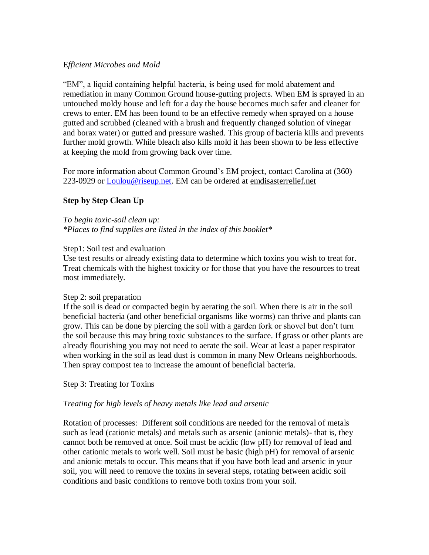## E*fficient Microbes and Mold*

"EM", a liquid containing helpful bacteria, is being used for mold abatement and remediation in many Common Ground house-gutting projects. When EM is sprayed in an untouched moldy house and left for a day the house becomes much safer and cleaner for crews to enter. EM has been found to be an effective remedy when sprayed on a house gutted and scrubbed (cleaned with a brush and frequently changed solution of vinegar and borax water) or gutted and pressure washed. This group of bacteria kills and prevents further mold growth. While bleach also kills mold it has been shown to be less effective at keeping the mold from growing back over time.

For more information about Common Ground's EM project, contact Carolina at (360) 223-0929 or [Loulou@riseup.net.](mailto:Loulou@riseup.net) EM can be ordered at emdisasterrelief.net

# **Step by Step Clean Up**

*To begin toxic-soil clean up: \*Places to find supplies are listed in the index of this booklet\**

### Step1: Soil test and evaluation

Use test results or already existing data to determine which toxins you wish to treat for. Treat chemicals with the highest toxicity or for those that you have the resources to treat most immediately.

### Step 2: soil preparation

If the soil is dead or compacted begin by aerating the soil. When there is air in the soil beneficial bacteria (and other beneficial organisms like worms) can thrive and plants can grow. This can be done by piercing the soil with a garden fork or shovel but don't turn the soil because this may bring toxic substances to the surface. If grass or other plants are already flourishing you may not need to aerate the soil. Wear at least a paper respirator when working in the soil as lead dust is common in many New Orleans neighborhoods. Then spray compost tea to increase the amount of beneficial bacteria.

# Step 3: Treating for Toxins

# *Treating for high levels of heavy metals like lead and arsenic*

Rotation of processes: Different soil conditions are needed for the removal of metals such as lead (cationic metals) and metals such as arsenic (anionic metals)- that is, they cannot both be removed at once. Soil must be acidic (low pH) for removal of lead and other cationic metals to work well. Soil must be basic (high pH) for removal of arsenic and anionic metals to occur. This means that if you have both lead and arsenic in your soil, you will need to remove the toxins in several steps, rotating between acidic soil conditions and basic conditions to remove both toxins from your soil.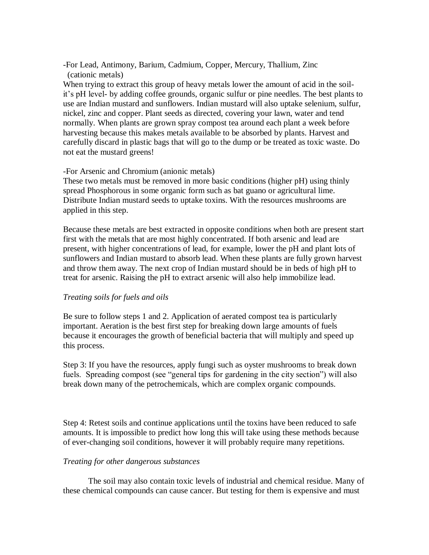-For Lead, Antimony, Barium, Cadmium, Copper, Mercury, Thallium, Zinc (cationic metals)

When trying to extract this group of heavy metals lower the amount of acid in the soilit's pH level- by adding coffee grounds, organic sulfur or pine needles. The best plants to use are Indian mustard and sunflowers. Indian mustard will also uptake selenium, sulfur, nickel, zinc and copper. Plant seeds as directed, covering your lawn, water and tend normally. When plants are grown spray compost tea around each plant a week before harvesting because this makes metals available to be absorbed by plants. Harvest and carefully discard in plastic bags that will go to the dump or be treated as toxic waste. Do not eat the mustard greens!

### -For Arsenic and Chromium (anionic metals)

These two metals must be removed in more basic conditions (higher pH) using thinly spread Phosphorous in some organic form such as bat guano or agricultural lime. Distribute Indian mustard seeds to uptake toxins. With the resources mushrooms are applied in this step.

Because these metals are best extracted in opposite conditions when both are present start first with the metals that are most highly concentrated. If both arsenic and lead are present, with higher concentrations of lead, for example, lower the pH and plant lots of sunflowers and Indian mustard to absorb lead. When these plants are fully grown harvest and throw them away. The next crop of Indian mustard should be in beds of high pH to treat for arsenic. Raising the pH to extract arsenic will also help immobilize lead.

### *Treating soils for fuels and oils*

Be sure to follow steps 1 and 2. Application of aerated compost tea is particularly important. Aeration is the best first step for breaking down large amounts of fuels because it encourages the growth of beneficial bacteria that will multiply and speed up this process.

Step 3: If you have the resources, apply fungi such as oyster mushrooms to break down fuels. Spreading compost (see "general tips for gardening in the city section") will also break down many of the petrochemicals, which are complex organic compounds.

Step 4: Retest soils and continue applications until the toxins have been reduced to safe amounts. It is impossible to predict how long this will take using these methods because of ever-changing soil conditions, however it will probably require many repetitions.

#### *Treating for other dangerous substances*

The soil may also contain toxic levels of industrial and chemical residue. Many of these chemical compounds can cause cancer. But testing for them is expensive and must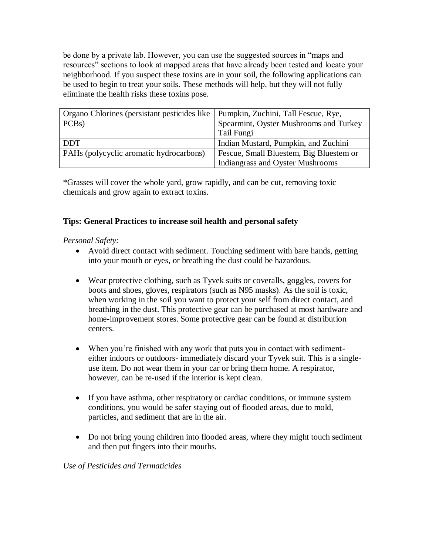be done by a private lab. However, you can use the suggested sources in "maps and resources" sections to look at mapped areas that have already been tested and locate your neighborhood. If you suspect these toxins are in your soil, the following applications can be used to begin to treat your soils. These methods will help, but they will not fully eliminate the health risks these toxins pose.

| Organo Chlorines (persistant pesticides like   Pumpkin, Zuchini, Tall Fescue, Rye, |                                         |  |
|------------------------------------------------------------------------------------|-----------------------------------------|--|
| PCB <sub>s</sub> )                                                                 | Spearmint, Oyster Mushrooms and Turkey  |  |
|                                                                                    | Tail Fungi                              |  |
| <b>DDT</b>                                                                         | Indian Mustard, Pumpkin, and Zuchini    |  |
| PAHs (polycyclic aromatic hydrocarbons)                                            | Fescue, Small Bluestem, Big Bluestem or |  |
|                                                                                    | <b>Indiangrass and Oyster Mushrooms</b> |  |

\*Grasses will cover the whole yard, grow rapidly, and can be cut, removing toxic chemicals and grow again to extract toxins.

# **Tips: General Practices to increase soil health and personal safety**

# *Personal Safety:*

- Avoid direct contact with sediment. Touching sediment with bare hands, getting into your mouth or eyes, or breathing the dust could be hazardous.
- Wear protective clothing, such as Tyvek suits or coveralls, goggles, covers for boots and shoes, gloves, respirators (such as N95 masks). As the soil is toxic, when working in the soil you want to protect your self from direct contact, and breathing in the dust. This protective gear can be purchased at most hardware and home-improvement stores. Some protective gear can be found at distribution centers.
- When you're finished with any work that puts you in contact with sedimenteither indoors or outdoors- immediately discard your Tyvek suit. This is a singleuse item. Do not wear them in your car or bring them home. A respirator, however, can be re-used if the interior is kept clean.
- If you have asthma, other respiratory or cardiac conditions, or immune system conditions, you would be safer staying out of flooded areas, due to mold, particles, and sediment that are in the air.
- Do not bring young children into flooded areas, where they might touch sediment and then put fingers into their mouths.

# *Use of Pesticides and Termaticides*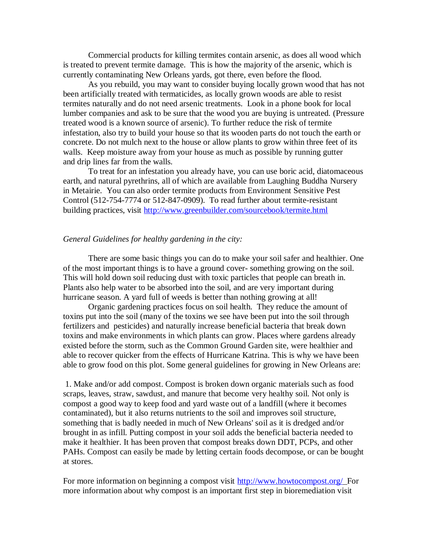Commercial products for killing termites contain arsenic, as does all wood which is treated to prevent termite damage. This is how the majority of the arsenic, which is currently contaminating New Orleans yards, got there, even before the flood.

As you rebuild, you may want to consider buying locally grown wood that has not been artificially treated with termaticides, as locally grown woods are able to resist termites naturally and do not need arsenic treatments. Look in a phone book for local lumber companies and ask to be sure that the wood you are buying is untreated. (Pressure treated wood is a known source of arsenic). To further reduce the risk of termite infestation, also try to build your house so that its wooden parts do not touch the earth or concrete. Do not mulch next to the house or allow plants to grow within three feet of its walls. Keep moisture away from your house as much as possible by running gutter and drip lines far from the walls.

To treat for an infestation you already have, you can use boric acid, diatomaceous earth, and natural pyrethrins, all of which are available from Laughing Buddha Nursery in Metairie. You can also order termite products from Environment Sensitive Pest Control (512-754-7774 or 512-847-0909). To read further about termite-resistant building practices, visit<http://www.greenbuilder.com/sourcebook/termite.html>

### *General Guidelines for healthy gardening in the city:*

There are some basic things you can do to make your soil safer and healthier. One of the most important things is to have a ground cover- something growing on the soil. This will hold down soil reducing dust with toxic particles that people can breath in. Plants also help water to be absorbed into the soil, and are very important during hurricane season. A yard full of weeds is better than nothing growing at all!

Organic gardening practices focus on soil health. They reduce the amount of toxins put into the soil (many of the toxins we see have been put into the soil through fertilizers and pesticides) and naturally increase beneficial bacteria that break down toxins and make environments in which plants can grow. Places where gardens already existed before the storm, such as the Common Ground Garden site, were healthier and able to recover quicker from the effects of Hurricane Katrina. This is why we have been able to grow food on this plot. Some general guidelines for growing in New Orleans are:

1. Make and/or add compost. Compost is broken down organic materials such as food scraps, leaves, straw, sawdust, and manure that become very healthy soil. Not only is compost a good way to keep food and yard waste out of a landfill (where it becomes contaminated), but it also returns nutrients to the soil and improves soil structure, something that is badly needed in much of New Orleans' soil as it is dredged and/or brought in as infill. Putting compost in your soil adds the beneficial bacteria needed to make it healthier. It has been proven that compost breaks down DDT, PCPs, and other PAHs. Compost can easily be made by letting certain foods decompose, or can be bought at stores.

For more information on beginning a compost visit<http://www.howtocompost.org/>For more information about why compost is an important first step in bioremediation visit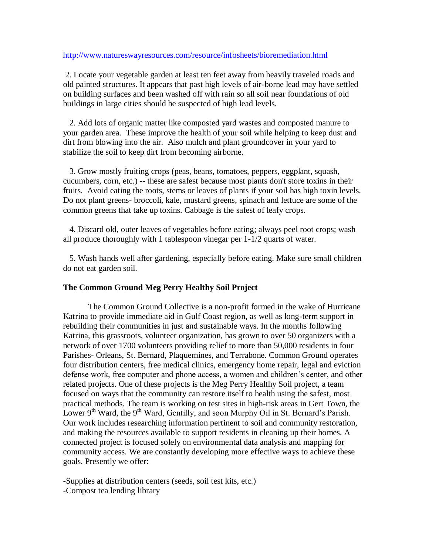#### <http://www.natureswayresources.com/resource/infosheets/bioremediation.html>

2. Locate your vegetable garden at least ten feet away from heavily traveled roads and old painted structures. It appears that past high levels of air-borne lead may have settled on building surfaces and been washed off with rain so all soil near foundations of old buildings in large cities should be suspected of high lead levels.

 2. Add lots of organic matter like composted yard wastes and composted manure to your garden area. These improve the health of your soil while helping to keep dust and dirt from blowing into the air. Also mulch and plant groundcover in your yard to stabilize the soil to keep dirt from becoming airborne.

 3. Grow mostly fruiting crops (peas, beans, tomatoes, peppers, eggplant, squash, cucumbers, corn, etc.) -- these are safest because most plants don't store toxins in their fruits. Avoid eating the roots, stems or leaves of plants if your soil has high toxin levels. Do not plant greens- broccoli, kale, mustard greens, spinach and lettuce are some of the common greens that take up toxins. Cabbage is the safest of leafy crops.

 4. Discard old, outer leaves of vegetables before eating; always peel root crops; wash all produce thoroughly with 1 tablespoon vinegar per 1-1/2 quarts of water.

 5. Wash hands well after gardening, especially before eating. Make sure small children do not eat garden soil.

### **The Common Ground Meg Perry Healthy Soil Project**

The Common Ground Collective is a non-profit formed in the wake of Hurricane Katrina to provide immediate aid in Gulf Coast region, as well as long-term support in rebuilding their communities in just and sustainable ways. In the months following Katrina, this grassroots, volunteer organization, has grown to over 50 organizers with a network of over 1700 volunteers providing relief to more than 50,000 residents in four Parishes- Orleans, St. Bernard, Plaquemines, and Terrabone. Common Ground operates four distribution centers, free medical clinics, emergency home repair, legal and eviction defense work, free computer and phone access, a women and children's center, and other related projects. One of these projects is the Meg Perry Healthy Soil project, a team focused on ways that the community can restore itself to health using the safest, most practical methods. The team is working on test sites in high-risk areas in Gert Town, the Lower 9<sup>th</sup> Ward, the 9<sup>th</sup> Ward, Gentilly, and soon Murphy Oil in St. Bernard's Parish. Our work includes researching information pertinent to soil and community restoration, and making the resources available to support residents in cleaning up their homes. A connected project is focused solely on environmental data analysis and mapping for community access. We are constantly developing more effective ways to achieve these goals. Presently we offer:

-Supplies at distribution centers (seeds, soil test kits, etc.) -Compost tea lending library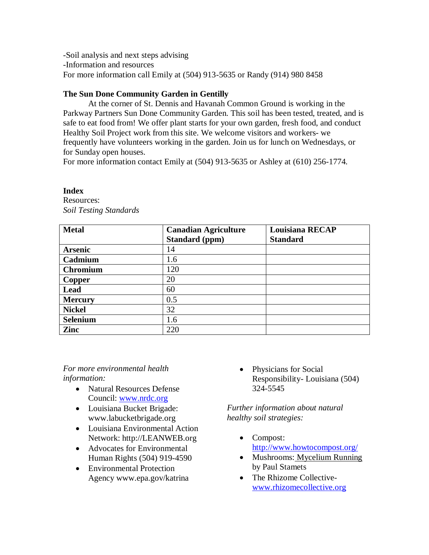-Soil analysis and next steps advising -Information and resources For more information call Emily at (504) 913-5635 or Randy (914) 980 8458

## **The Sun Done Community Garden in Gentilly**

At the corner of St. Dennis and Havanah Common Ground is working in the Parkway Partners Sun Done Community Garden. This soil has been tested, treated, and is safe to eat food from! We offer plant starts for your own garden, fresh food, and conduct Healthy Soil Project work from this site. We welcome visitors and workers- we frequently have volunteers working in the garden. Join us for lunch on Wednesdays, or for Sunday open houses.

For more information contact Emily at (504) 913-5635 or Ashley at (610) 256-1774.

### **Index**

Resources: *Soil Testing Standards*

| <b>Metal</b>    | <b>Canadian Agriculture</b> | <b>Louisiana RECAP</b> |
|-----------------|-----------------------------|------------------------|
|                 | <b>Standard</b> (ppm)       | <b>Standard</b>        |
| <b>Arsenic</b>  | 14                          |                        |
| Cadmium         | 1.6                         |                        |
| <b>Chromium</b> | 120                         |                        |
| Copper          | 20                          |                        |
| <b>Lead</b>     | 60                          |                        |
| <b>Mercury</b>  | 0.5                         |                        |
| <b>Nickel</b>   | 32                          |                        |
| <b>Selenium</b> | 1.6                         |                        |
| Zinc            | 220                         |                        |

## *For more environmental health information:*

- Natural Resources Defense Council: [www.nrdc.org](http://www.nrdc.org/)
- Louisiana Bucket Brigade: www.labucketbrigade.org
- Louisiana Environmental Action Network: http://LEANWEB.org
- Advocates for Environmental Human Rights (504) 919-4590
- Environmental Protection Agency www.epa.gov/katrina

• Physicians for Social Responsibility- Louisiana (504) 324-5545

*Further information about natural healthy soil strategies:*

- Compost: <http://www.howtocompost.org/>
- Mushrooms: Mycelium Running by Paul Stamets
- The Rhizome Collective[www.rhizomecollective.org](http://www.rhizomecollective.org/)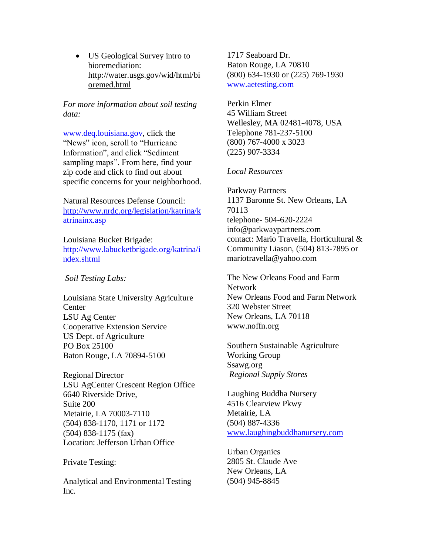US Geological Survey intro to bioremediation: http://water.usgs.gov/wid/html/bi oremed.html

*For more information about soil testing data:*

[www.deq.louisiana.gov,](http://www.deq.louisiana.gov/) click the "News" icon, scroll to "Hurricane Information", and click "Sediment sampling maps". From here, find your zip code and click to find out about specific concerns for your neighborhood.

Natural Resources Defense Council: [http://www.nrdc.org/legislation/katrina/k](http://www.nrdc.org/legislation/katrina/katrinainx.asp) [atrinainx.asp](http://www.nrdc.org/legislation/katrina/katrinainx.asp)

Louisiana Bucket Brigade: [http://www.labucketbrigade.org/katrina/i](http://www.labucketbrigade.org/katrina/index.shtml)

[ndex.shtml](http://www.labucketbrigade.org/katrina/index.shtml)

*Soil Testing Labs:*

Louisiana State University Agriculture Center LSU Ag Center Cooperative Extension Service US Dept. of Agriculture PO Box 25100 Baton Rouge, LA 70894-5100

Regional Director LSU AgCenter Crescent Region Office 6640 Riverside Drive, Suite 200 Metairie, LA 70003-7110 (504) 838-1170, 1171 or 1172 (504) 838-1175 (fax) Location: Jefferson Urban Office

Private Testing:

Analytical and Environmental Testing Inc.

1717 Seaboard Dr. Baton Rouge, LA 70810 (800) 634-1930 or (225) 769-1930 [www.aetesting.com](http://www.aetesting.com/)

Perkin Elmer 45 William Street Wellesley, MA 02481-4078, USA Telephone 781-237-5100 (800) 767-4000 x 3023 (225) 907-3334

# *Local Resources*

Parkway Partners 1137 Baronne St. New Orleans, LA 70113 telephone- 504-620-2224 info@parkwaypartners.com contact: Mario Travella, Horticultural & Community Liason, (504) 813-7895 or mariotravella@yahoo.com

The New Orleans Food and Farm Network New Orleans Food and Farm Network 320 Webster Street New Orleans, LA 70118 www.noffn.org

Southern Sustainable Agriculture Working Group Ssawg.org *Regional Supply Stores*

Laughing Buddha Nursery 4516 Clearview Pkwy Metairie, LA (504) 887-4336 [www.laughingbuddhanursery.com](http://www.laughingbuddhanursery.com/)

Urban Organics 2805 St. Claude Ave New Orleans, LA (504) 945-8845